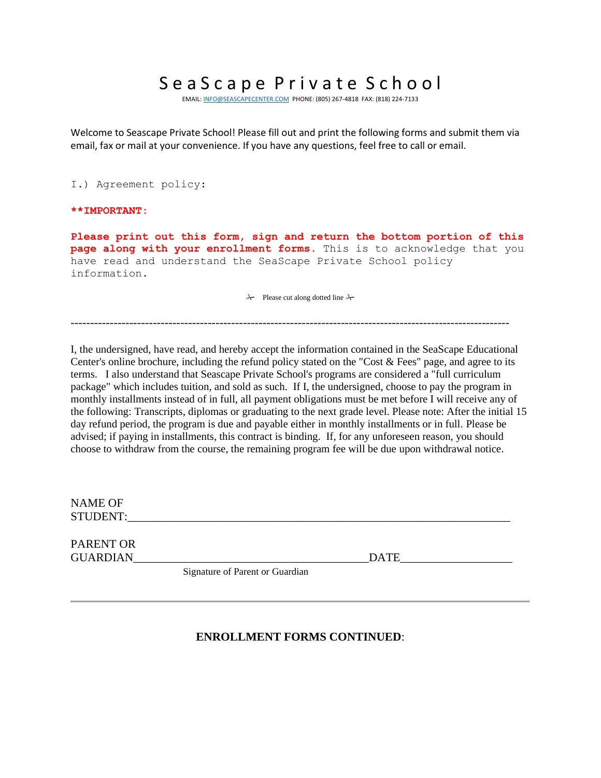# Sea Scape Private School

EMAIL[: INFO@SEASCAPECENTER.COM](mailto:INFO@SEASCAPECENTER.COM) PHONE: (805) 267-4818 FAX: (818) 224-7133

Welcome to Seascape Private School! Please fill out and print the following forms and submit them via email, fax or mail at your convenience. If you have any questions, feel free to call or email.

I.) Agreement policy:

#### **\*\*IMPORTANT:**

**Please print out this form, sign and return the bottom portion of this page along with your enrollment forms.** This is to acknowledge that you have read and understand the SeaScape Private School policy information.

 $\lambda$  Please cut along dotted line  $\lambda$ 

----------------------------------------------------------------------------------------------------------------

I, the undersigned, have read, and hereby accept the information contained in the SeaScape Educational Center's online brochure, including the refund policy stated on the "Cost & Fees" page, and agree to its terms. I also understand that Seascape Private School's programs are considered a "full curriculum package" which includes tuition, and sold as such. If I, the undersigned, choose to pay the program in monthly installments instead of in full, all payment obligations must be met before I will receive any of the following: Transcripts, diplomas or graduating to the next grade level. Please note: After the initial 15 day refund period, the program is due and payable either in monthly installments or in full. Please be advised; if paying in installments, this contract is binding. If, for any unforeseen reason, you should choose to withdraw from the course, the remaining program fee will be due upon withdrawal notice.

| NAME OF<br><b>STUDENT:</b> |             |
|----------------------------|-------------|
| <b>PARENT OR</b>           |             |
| <b>GUARDIAN</b>            | <b>DATE</b> |

Signature of Parent or Guardian

### **ENROLLMENT FORMS CONTINUED**: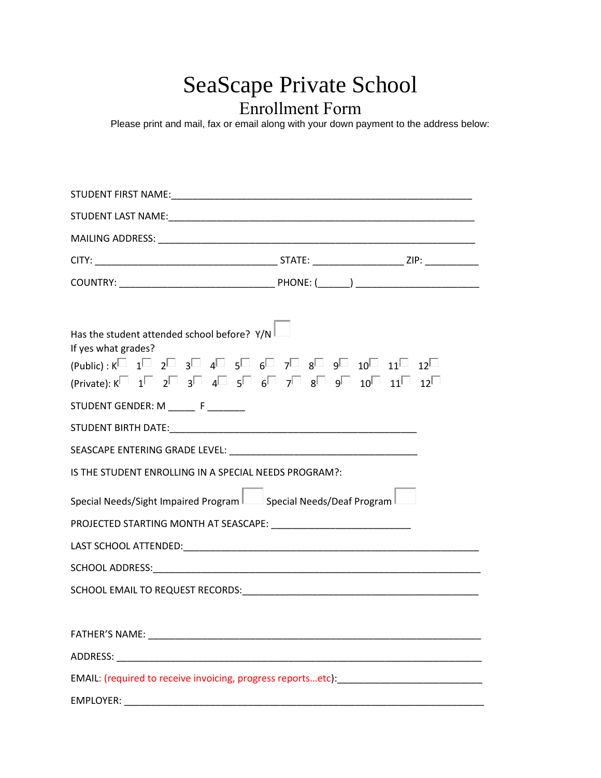# SeaScape Private School

# Enrollment Form

Please print and mail, fax or email along with your down payment to the address below:

| Has the student attended school before? $Y/N$<br>If yes what grades?                                                                                                                                                                                                           |  |
|--------------------------------------------------------------------------------------------------------------------------------------------------------------------------------------------------------------------------------------------------------------------------------|--|
| $(Public): K^{\Box}$ 1 $\Box$ 2 $\Box$ 3 $\Box$ 4 $\Box$ 5 $\Box$ 6 $\Box$ 7 $\Box$ 8 $\Box$ 9 $\Box$ 11 $\Box$ 12 $\Box$<br>$\overline{P}$ (Private): K $\Box$ 1 $\Box$ 2 $\Box$ 3 $\Box$ 4 $\Box$ 5 $\Box$ 6 $\Box$ 7 $\Box$ 8 $\Box$ 9 $\Box$ 10 $\Box$ 11 $\Box$ 12 $\Box$ |  |
| STUDENT GENDER: M _______ F _______                                                                                                                                                                                                                                            |  |
|                                                                                                                                                                                                                                                                                |  |
| SEASCAPE ENTERING GRADE LEVEL: New York SEASCAPE ENTERING GRADE LEVEL:                                                                                                                                                                                                         |  |
| IS THE STUDENT ENROLLING IN A SPECIAL NEEDS PROGRAM?:                                                                                                                                                                                                                          |  |
| Special Needs/Sight Impaired Program   Special Needs/Deaf Program                                                                                                                                                                                                              |  |
| PROJECTED STARTING MONTH AT SEASCAPE: NAMEL AND RESERVE AND RESERVE AND RESERVE AND RESERVE AND RESERVE AND RE                                                                                                                                                                 |  |
|                                                                                                                                                                                                                                                                                |  |
|                                                                                                                                                                                                                                                                                |  |
|                                                                                                                                                                                                                                                                                |  |
|                                                                                                                                                                                                                                                                                |  |
|                                                                                                                                                                                                                                                                                |  |
|                                                                                                                                                                                                                                                                                |  |
| EMAIL: (required to receive invoicing, progress reportsetc): ___________________________________                                                                                                                                                                               |  |
|                                                                                                                                                                                                                                                                                |  |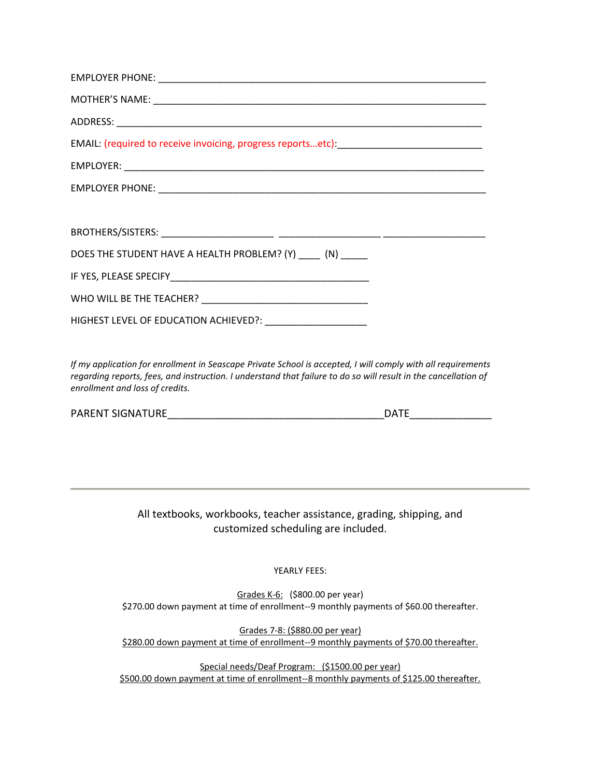| EMAIL: (required to receive invoicing, progress reportsetc): ___________________________________ |
|--------------------------------------------------------------------------------------------------|
|                                                                                                  |
|                                                                                                  |
|                                                                                                  |
|                                                                                                  |
| DOES THE STUDENT HAVE A HEALTH PROBLEM? (Y) _____ (N) ______                                     |
|                                                                                                  |
|                                                                                                  |
|                                                                                                  |
|                                                                                                  |

*If my application for enrollment in Seascape Private School is accepted, I will comply with all requirements regarding reports, fees, and instruction. I understand that failure to do so will result in the cancellation of enrollment and loss of credits.*

 $\Box$ 

All textbooks, workbooks, teacher assistance, grading, shipping, and customized scheduling are included.

YEARLY FEES:

Grades K-6: (\$800.00 per year) \$270.00 down payment at time of enrollment--9 monthly payments of \$60.00 thereafter.

Grades 7-8: (\$880.00 per year) \$280.00 down payment at time of enrollment--9 monthly payments of \$70.00 thereafter.

Special needs/Deaf Program: (\$1500.00 per year) \$500.00 down payment at time of enrollment--8 monthly payments of \$125.00 thereafter.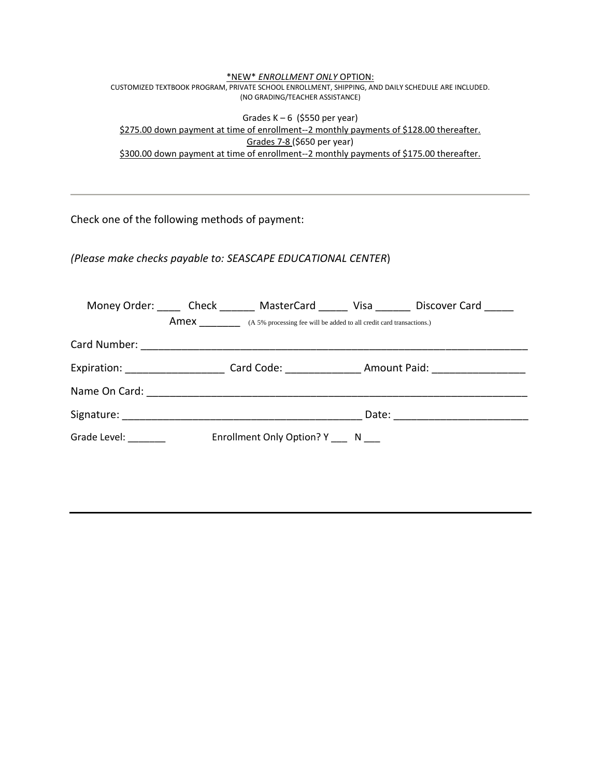#### \*NEW\* *ENROLLMENT ONLY* OPTION: CUSTOMIZED TEXTBOOK PROGRAM, PRIVATE SCHOOL ENROLLMENT, SHIPPING, AND DAILY SCHEDULE ARE INCLUDED. (NO GRADING/TEACHER ASSISTANCE)

Grades  $K - 6$  (\$550 per year) \$275.00 down payment at time of enrollment--2 monthly payments of \$128.00 thereafter. Grades 7-8 (\$650 per year) \$300.00 down payment at time of enrollment--2 monthly payments of \$175.00 thereafter.

## Check one of the following methods of payment:

*(Please make checks payable to: SEASCAPE EDUCATIONAL CENTER*)

|                          | Money Order: Check MasterCard Visa Discover Card                                                                                                                                                                              |                             |                             |
|--------------------------|-------------------------------------------------------------------------------------------------------------------------------------------------------------------------------------------------------------------------------|-----------------------------|-----------------------------|
|                          | <b>AMEX</b> (A 5% processing fee will be added to all credit card transactions.)                                                                                                                                              |                             |                             |
|                          |                                                                                                                                                                                                                               |                             |                             |
|                          |                                                                                                                                                                                                                               |                             |                             |
|                          | Name On Card: The Case of Card Contract of Card Contract of Card Contract of Card Contract of Card Contract of Card Contract of Card Contract of Card Contract of Contract of Contract of Contract of Contract of Contract of |                             |                             |
|                          |                                                                                                                                                                                                                               |                             | Date: _____________________ |
| Grade Level: The Control |                                                                                                                                                                                                                               | Enrollment Only Option? Y N |                             |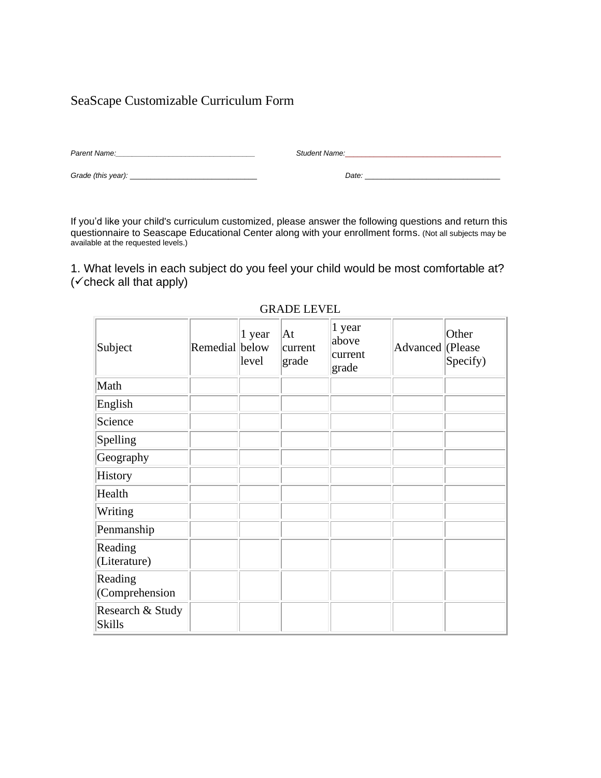# SeaScape Customizable Curriculum Form

| Parent Name: |  |  |
|--------------|--|--|
|              |  |  |

*Parent Name:\_\_\_\_\_\_\_\_\_\_\_\_\_\_\_\_\_\_\_\_\_\_\_\_\_\_\_\_\_\_\_\_\_\_ Student Name:*\_\_\_\_\_\_\_\_\_\_\_\_\_\_\_\_\_\_\_\_\_\_\_\_\_\_\_\_\_\_\_\_\_\_\_\_\_\_

*Grade (this year):* \_\_\_\_\_\_\_\_\_\_\_\_\_\_\_\_\_\_\_\_\_\_\_\_\_\_\_\_\_\_\_ *Date:* \_\_\_\_\_\_\_\_\_\_\_\_\_\_\_\_\_\_\_\_\_\_\_\_\_\_\_\_\_\_\_\_\_

If you'd like your child's curriculum customized, please answer the following questions and return this questionnaire to Seascape Educational Center along with your enrollment forms. (Not all subjects may be available at the requested levels.)

1. What levels in each subject do you feel your child would be most comfortable at?  $(\checkmark$  check all that apply)

| Subject                           | Remedial below | 1 year<br>level | $\overline{At}$<br>current<br>grade | 1 year<br>above<br>current<br>grade | Advanced (Please | Other<br>Specify) |
|-----------------------------------|----------------|-----------------|-------------------------------------|-------------------------------------|------------------|-------------------|
| Math                              |                |                 |                                     |                                     |                  |                   |
| English                           |                |                 |                                     |                                     |                  |                   |
| Science                           |                |                 |                                     |                                     |                  |                   |
| Spelling                          |                |                 |                                     |                                     |                  |                   |
| Geography                         |                |                 |                                     |                                     |                  |                   |
| History                           |                |                 |                                     |                                     |                  |                   |
| Health                            |                |                 |                                     |                                     |                  |                   |
| Writing                           |                |                 |                                     |                                     |                  |                   |
| Penmanship                        |                |                 |                                     |                                     |                  |                   |
| Reading<br>(Literature)           |                |                 |                                     |                                     |                  |                   |
| Reading<br>Comprehension          |                |                 |                                     |                                     |                  |                   |
| Research & Study<br><b>Skills</b> |                |                 |                                     |                                     |                  |                   |

### GRADE LEVEL